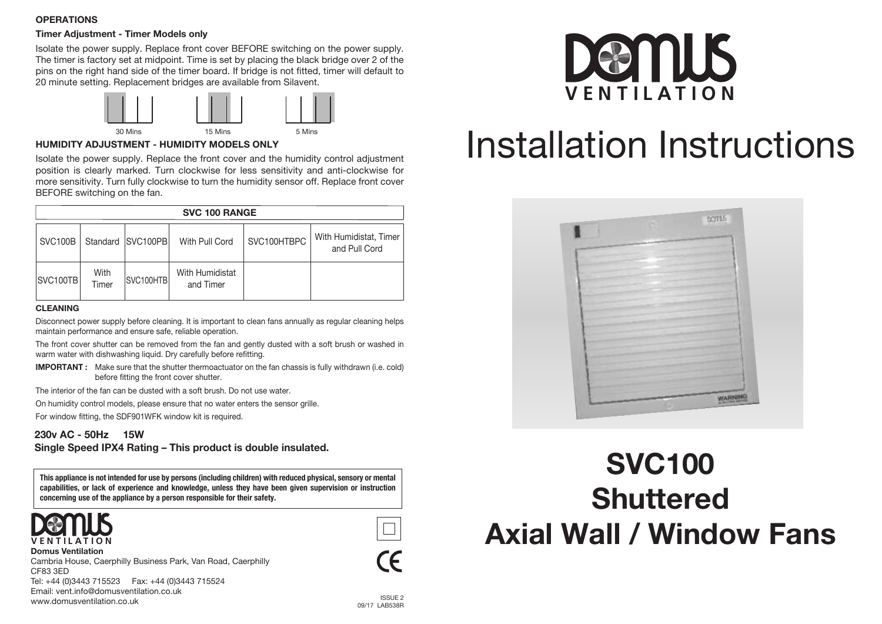## **OPERATIONS**

## **Timer Adjustment - Timer Models only**

Isolate the power supply. Replace front cover BEFORE switching on the power supply. The timer is factory set at midpoint. Time is set by placing the black bridge over 2 of the pins on the right hand side of the timer board. If bridge is not fitted, timer will default to 20 minute setting. Replacement bridges are available from Silavent.



## **HUMIDITY ADJUSTMENT - HUMIDITY MODELS ONLY**

Isolate the power supply. Replace the front cover and the humidity control adjustment position is clearly marked. Turn clockwise for less sensitivity and anti-clockwise for more sensitivity. Turn fully clockwise to turn the humidity sensor off. Replace front cover BEFORE switching on the fan.

| <b>SVC 100 RANGE</b> |               |                       |                              |             |                                         |
|----------------------|---------------|-----------------------|------------------------------|-------------|-----------------------------------------|
| SVC100B              |               | Standard   SVC100PB   | With Pull Cord               | SVC100HTBPC | With Humidistat, Timer<br>and Pull Cord |
| SVC <sub>100TB</sub> | With<br>Timer | SVC <sub>100HTB</sub> | With Humidistat<br>and Timer |             |                                         |

#### **CLEANING**

Disconnect power supply before cleaning. It is important to clean fans annually as regular cleaning helps maintain performance and ensure safe, reliable operation.

The front cover shutter can be removed from the fan and gently dusted with a soft brush or washed in warm water with dishwashing liquid. Dry carefully before refitting.

**IMPORTANT :** Make sure that the shutter thermoactuator on the fan chassis is fully withdrawn (i.e. cold) before fitting the front cover shutter.

The interior of the fan can be dusted with a soft brush. Do not use water.

On humidity control models, please ensure that no water enters the sensor grille.

For window fitting, the SDF901WFK window kit is required.

## **230v AC - 50Hz 15W Single Speed IPX4 Rating – This product is double insulated.**

**This appliance is not intended for use by persons (including children) with reduced physical, sensory or mental capabilities, or lack of experience and knowledge, unless they have been given supervision or instruction concerning use of the appliance by a person responsible for their safety.**



www.domusventilation.co.uk



**Domus Ventilation** Cambria House, Caerphilly Business Park, Van Road, Caerphilly CF83 3ED Tel: +44 (0)3443 715523 Fax: +44 (0)3443 715524 Email: vent.info@domusventilation.co.uk



# Installation Instructions



## **SVC100 Shuttered Axial Wall / Window Fans**

**ICCLIE** 2 09/17 LAB538R